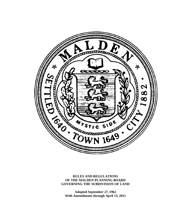

**RULES AND REGULATIONS OF THE MALDEN PLANNING BOARD GOVERNING THE SUBDIVISION OF LAND** 

**Adopted September 27, 1962 With Amendments through April 13, 2011**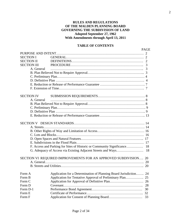# **RULES AND REGULATIONS OF THE MALDEN PLANNING BOARD GOVERNING THE SUBDIVISION OF LAND Adopted September 27, 1962 With Amendments through April 13, 2011**

# **TABLE OF CONTENTS**

| <b>SECTION I</b><br><b>SECTION II</b>                                          |  |
|--------------------------------------------------------------------------------|--|
|                                                                                |  |
|                                                                                |  |
|                                                                                |  |
| <b>SECTION III</b>                                                             |  |
| A. General                                                                     |  |
|                                                                                |  |
|                                                                                |  |
|                                                                                |  |
|                                                                                |  |
|                                                                                |  |
|                                                                                |  |
| <b>SECTION IV</b>                                                              |  |
| A. General                                                                     |  |
|                                                                                |  |
|                                                                                |  |
|                                                                                |  |
|                                                                                |  |
|                                                                                |  |
|                                                                                |  |
|                                                                                |  |
|                                                                                |  |
|                                                                                |  |
|                                                                                |  |
|                                                                                |  |
| F. Access and Parking for Sites of Historic or Community Significance 18       |  |
|                                                                                |  |
|                                                                                |  |
| SECTION VI REQUIRED IMPROVEMENTS FOR AN APPROVED SUBDIVISION 20                |  |
| 20                                                                             |  |
|                                                                                |  |
| Application for a Determination of Planning Board Jurisdiction<br>Form A<br>24 |  |
| Application for Tentative Approval of Preliminary Plan 25<br>Form B            |  |
| Form C                                                                         |  |
| Form D<br>28                                                                   |  |
| Form D-1<br>30                                                                 |  |
| Form E                                                                         |  |
| Form F                                                                         |  |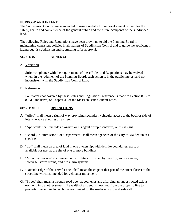#### **PURPOSE AND INTENT**

The Subdivision Control law is intended to insure orderly future development of land for the safety, health and convenience of the general public and the future occupants of the subdivided land.

The following Rules and Regulations have been drawn up to aid the Planning Board in maintaining consistent policies in all matters of Subdivision Control and to guide the applicant in laying out his subdivision and submitting it for approval.

# **SECTION I GENERAL**

#### **A. Variation**

Strict compliance with the requirements of these Rules and Regulations may be waived when, in the judgment of the Planning Board, such action is in the public interest and not inconsistent with the Subdivision Control Law.

#### **B. Reference**

For matters not covered by these Rules and Regulations, reference is made to Section 81K to 81GG, inclusive, of Chapter 41 of the Massachusetts General Laws.

#### **SECTION II DEFINITIONS**

- **A.** "Alley" shall mean a right of way providing secondary vehicular access to the back or side of lots otherwise abutting on a street.
- **B.** "Applicant" shall include an owner, or his agent or representative, or his assigns.
- **C.** "Board", "Commission", or "Department" shall mean agencies of the City of Malden unless specified.
- **D.** "Lot" shall mean an area of land in one ownership, with definite boundaries, used, or available for use, as the site of one or more buildings.
- **E.** "Municipal service" shall mean public utilities furnished by the City, such as water, sewerage, storm drains, and fire alarm systems.
- **F.** "Outside Edge of the Travel Lane" shall mean the edge of that part of the street closest to the street line which is intended for vehicular movement.
- **G.** "Street" shall mean a through road open at both ends and affording an unobstructed exit at each end into another street. The width of a street is measured from the property line to property line and includes, but is not limited to, the roadway, curb and sidewalk.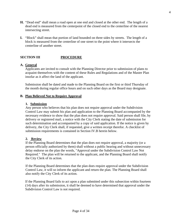- **H.** "Dead end" shall mean a road open at one end and closed at the other end. The length of a dead end is measured from the centerpoint of the closed end to the centerline of the nearest intersecting street.
- **I.** "Block" shall mean that portion of land bounded on three sides by streets. The length of a block is measured from the centerline of one street to the point where it intersects the centerline of another street.

# **SECTION III PROCEDURE**

# **A. General**

Applicants are invited to consult with the Planning Director prior to submission of plans to acquaint themselves with the content of these Rules and Regulations and of the Master Plan insofar as it affect the land of the applicant.

Submission shall be dated and made to the Planning Board on the first or third Thursday of the month during regular office hours and on such other days as the Board may designate.

# **B. Plan Believed Not to Require Approval**

#### **1. Submission**

Any person who believes that his plan does not require approval under the Subdivision Control Law may submit his plan and application to the Planning Board accompanied by the necessary evidence to show that the plan does not require approval. Said person shall file, by delivery or registered mail, a notice with the City Clerk stating the date of submission for such determination and accompanied by a copy of said application. If the notice is given by delivery, the City Clerk shall, if requested, give a written receipt therefor. A checklist of submission requirements is contained in Section IV.B herein below.

# **2. Review**

If the Planning Board determines that the plan does not require approval, a majority (or a person officially authorized by them) shall without a public hearing and without unnecessary delay endorse on the plan the words, "Approval under the Subdivision Control Law Not Required." The plan will be returned to the applicant, and the Planning Board shall notify the City Clerk of its action.

If the Planning Board determines that the plan does require approval under the Subdivision Control Law, it will so inform the applicant and return the plan. The Planning Board shall also notify the City Clerk of its action.

If the Planning Board fails to act upon a plan submitted under this subsection within fourteen (14) days after its submission, it shall be deemed to have determined that approval under the Subdivision Control Law is not required.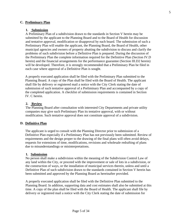# **C. Preliminary Plan**

# **1. Submission**

A Preliminary Plan of a subdivision drawn to the standards in Section V herein may be submitted by the applicant to the Planning Board and to the Board of Health for discussion and tentative approval, modification or disapproval by each board. The submission of such a Preliminary Plan will enable the applicant, the Planning Board, the Board of Health, other municipal agencies and owners of property abutting the subdivision to discuss and clarify the problems of such subdivision before a Definitive Plan is prepared. During the discussion of the Preliminary Plan the complete information required for the Definitive Plan (Section IV.D herein) and the financial arrangements for the performance guarantee (Section III.D2 herein) will be developed. Therefore, it is strongly recommended that a Preliminary Plan be filed in each case where approval of a Definitive Plan is sought.

A properly executed application shall be filed with the Preliminary Plan submitted to the Planning Board. A copy of the Plan shall be filed with the Board of Health. The applicant shall file by delivery or registered mail a notice with the City Clerk stating the date of submission of such tentative approval of a Preliminary Plan and accompanied by a copy of the completed application. A checklist of submission requirements is contained in Section IV. C herein.

# **2. Review**

The Planning Board after consultation with interested City Departments and private utility companies may give such Preliminary Plan its tentative approval, with or without modification. Such tentative approval does not constitute approval of a subdivision.

# **D. Definitive Plan**

The applicant is urged to consult with the Planning Director prior to submission of a Definitive Plan especially if a Preliminary Plan has not previously been submitted. Review of requirements and the design proper to the drawing of the final plans will often avoid delays, requests for extensions of time, modifications, revisions and wholesale redrafting of plans due to misunderstandings or misinterpretations.

# **1. Submission**

No person shall make a subdivision within the meaning of the Subdivision Control Law of any land within the City, or proceed with the improvement or sale of lots in a subdivision, or the construction of ways, or the installation of municipal services therein, unless and until a Definitive Plan of such subdivision drawn to the standards contained in Section V herein has been submitted and approved by the Planning Board as hereinafter provided.

A properly executed application shall be filed with the Definitive Plan submitted to the Planning Board. In addition, supporting data and cost estimates shall also be submitted at this time. A copy of the plan shall be filed with the Board of Health. The applicant shall file by delivery or registered mail a notice with the City Clerk stating the date of submission for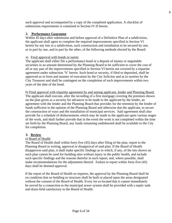such approval and accompanied by a copy of the completed application. A checklist of submission requirements is contained in Section IV.D herein.

# **2. Performance Guarantee**

Within 45 days after submission and before approval of a Definitive Plan of a subdivision, the applicant shall agree to complete the required improvements specified in Section VI herein for any lots in a subdivision, such construction and installation to be secured by one, or in part by one, and in part by the other, of the following methods elected by the Board:

# a) Final approval with bonds or surety

The applicant shall either file a performance bond or a deposit of money or negotiable securities in an amount determined by the Planning Board to be sufficient to cover the cost of all or any part of the improvements specified in Section VI herein not covered by a tripartite agreement under subsection "b" herein. Such bond or security, if filed or deposited, shall be approved as to form and manner of execution by the City Solicitor and as to sureties by the City Treasurer and shall be contingent on the completion of such improvements within two years of the date of the bond.

b) Final approval with tripartite agreement by and among applicant, lender and Planning Board. The applicant shall execute, after the recording of a first mortgage covering the premises shown on the plan given as a security for advances to be made to the applicant by the lender, an agreement with the lender and the Planning Board that provides for the retention by the lender of funds sufficient in the opinion of the Planning Board and otherwise due the applicant, to secure the construction of ways and the installation of municipal services. Said agreement shall also provide for a schedule of disbursements which may be made to the applicant upon various stages of the work, and shall further provide that in the event the work is not completed within the time set forth by the Planning Board, any funds remaining undisbursed shall be available to the City for completion.

# **3. Review**

# a) Board of Health

The Board of Health shall within forty-five (45) days after filing of the plan, report to the Planning Board in writing, approval or disapproval of said plan. If the Board of Health disapproves said plan, it shall make specific findings as to which, if any, of the lots shown on such plan cannot be used for building sites without injury to the public health, and include such specific findings and the reasons therefor in such report; and, where possible, shall make recommendations for the adjustment thereof. Failure to report within forty-five (45) days shall be deemed approval.

If the report of the Board of Health so requires, the approval by the Planning Board shall be on condition that no building or structure shall be built or placed upon the areas designated without the consent of the Board of Health. Every lot so located that it cannot immediately be served by a connection to the municipal sewer system shall be provided with a septic tank and drain-field satisfactory to the Board of Health.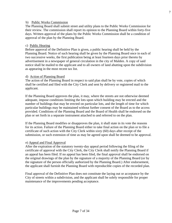#### b) Public Works Commission

The Planning Board shall submit street and utility plans to the Public Works Commission for their review. The commission shall report its opinion to the Planning Board within forty-five days. Written approval of the plans by the Public Works Commission shall be a condition of approval of the plan by the Planning Board.

#### c) Public Hearing

Before approval of the Definitive Plan is given, a public hearing shall be held by the Planning Board. Notice of such hearing shall be given by the Planning Board once in each of two successive weeks, the first publication being at least fourteen days prior thereto by advertisement in a newspaper of general circulation in the city of Malden. A copy of said notice shall be mailed to the applicant and to all owners of land abutting upon the subdivision as appearing in the most recent tax list.

#### d) Action of Planning Board

The action of the Planning Board in respect to said plan shall be by vote, copies of which shall be certified and filed with the City Clerk and sent by delivery or registered mail to the applicant.

If the Planning Board approves the plan, it may, where the streets are not otherwise deemed adequate, impose conditions limiting the lots upon which building may be erected and the number of buildings that may be erected on particular lots, and the length of time for which particular buildings may be maintained without further consent of the Board as to the access provided. Conditions of the Planning Board and the Board of Health shall be endorsed on the plan or set forth in a separate instrument attached to and referred to on the plan.

If the Planning Board modifies or disapproves the plan, it shall state in its vote the reasons for its action. Failure of the Planning Board either to take final action on the plan or to file a certificate of such action with the City Clerk within sixty (60) days after receipt of the submission, or such extension of time as may be agreed upon shall be deemed to be approval.

#### e) Appeal and Final Approval

After the expiration of the statutory twenty-day appeal period following the filing of the certificate of approval with the City Clerk, the City Clerk shall notify the Planning Board if an appeal has been filed. If no appeal has been filed, the final approval shall be endorsed on the original drawings of the plan by the signature of a majority of the Planning Board (or by the signature of the person officially authorized by the Planning Board.) After endorsement, the applicant shall furnish the Planning Board with reproducible copies of the recorded plan.

Final approval of the Definitive Plan does not constitute the laying out or acceptance by the City of streets within a subdivision, and the applicant shall be solely responsible for proper maintenance of the improvements pending acceptance.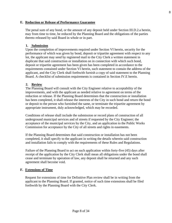# **E. Reduction or Release of Performance Guarantee**

The penal sum of any bond, or the amount of any deposit held under Section III.D.2.a herein, may from time to time, be reduced by the Planning Board and the obligations of the parties thereto released by said Board in whole or in part.

# **1. Submission**

Upon the completion of improvements required under Section VI herein, security for the performance of which was given by bond, deposit or tripartite agreement with respect to any lot, the applicant may send by registered mail to the City Clerk a written statement in duplicate that said construction or installation on in connection with which such bond, deposit or tripartite agreement has been given has been completed in accordance to the requirements contained under Section VI herein, such statement to contain the address of the applicant, and the City Clerk shall forthwith furnish a copy of said statement to the Planning Board. A checklist of submission requirements is contained in Section IV.E herein.

# **2. Review**

The Planning Board will consult with the City Engineer relative to acceptability of the improvements, and with the applicant as needed relative to agreement on terms of the reduction or release. If the Planning Board determines that the construction or installation has been completed, it shall release the interests of the City in such bond and return the bond or deposit to the person who furnished the same, or terminate the tripartite agreement by appropriate instrument, duly acknowledged, which may be recorded.

Conditions of release shall include the submission or record plans of construction of all underground municipal services and of streets if requested by the City Engineer; the acceptance of the municipal services by the City, and an application to the Public Works Commission for acceptance by the City of all streets and rights in easements.

If the Planning Board determines that said construction or installation has not been completed, it shall specify to the applicant in writing the details wherein said construction and installation fails to comply with the requirements of these Rules and Regulations.

Failure of the Planning Board to act on such application within forty-five (45) days after receipt of the application by the City Clerk shall mean all obligations under the bond shall cease and terminate by operation of law, any deposit shall be returned and any such agreement shall become void.

# **F. Extensions of Time**

Request for extensions of time for Definitive Plan review shall be in writing from the applicant to the Planning Board. If granted, notice of such time extensions shall be filed forthwith by the Planning Board with the City Clerk.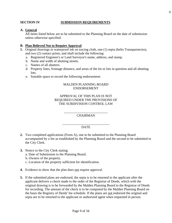# **SECTION IV SUBMISSION REQUIREMENTS**

#### **A. General**

All items listed below are to be submitted to the Planning Board on the date of submission unless otherwise specified.

#### **B. Plan Believed Not to Require Approval**

- **1.** Original drawings in waterproof ink on tracing cloth, one (1) sepia (helio Transparencies), and two (2) contact prints, and shall include the following:
	- a. Registered Engineer's or Land Surveyor's name, address, and stamp.
	- b. Name and width of abutting streets.
	- c. Names of all abutters.
	- d. Property lines, frontage distance, and areas of the lot or lots in question and all abutting lots.
	- e. Suitable space to record the following endorsement:

#### MALDEN PLANNING BOARD ENDORSEMENT

#### APPROVAL OF THIS PLAN IS NOT REQUIRED UNDER THE PROVISIONS OF THE SUBDIVISION CONTROL LAW

\_\_\_\_\_\_\_\_\_\_\_\_\_\_\_\_\_\_\_\_\_\_\_\_\_\_ **CHAIRMAN** 

#### \_\_\_\_\_\_\_\_\_\_\_\_\_\_\_\_\_\_\_\_\_\_\_\_\_\_\_\_ DATE

- **2.** Two completed applications (Form A), one to be submitted to the Planning Board accompanied by a fee as established by the Planning Board and the second to be submitted to the City Clerk.
- **3.** Notice to the City Clerk stating:
	- a. Date of Submission to the Planning Board.
	- b. Owners of the property.
	- c. Location of the property sufficient for identification.
- **4.** Evidence to show that the plan does not require approval.
- **5.** If the submitted plans are endorsed, the sepia is to be returned to the applicant after the applicant delivers a check made to the order of the Registrar of Deeds, which with the original drawing is to be forwarded by the Malden Planning Board to the Registrar of Deeds for recording. The amount of the check is to be computed by the Malden Planning Board on the basis the Registry of Deeds' fee schedule. If the plans are not endorsed the original and sepia are to be returned to the applicant or authorized agent when requested in person.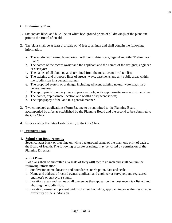# **C. Preliminary Plan**

- **1.** Six contact black and blue line on white background prints of all drawings of the plan; one print to the Board of Health.
- **2.** The plans shall be at least at a scale of 40 feet to an inch and shall contain the following information:
	- a. The subdivision name, boundaries, north point, date, scale, legend and title "Preliminary Plan";
	- b. The names of the record owner and the applicant and the names of the designer, engineer or surveyor;
	- c. The names of all abutters, as determined from the most recent local tax list;
	- d. The existing and proposed lines of streets, ways, easements and any public areas within the subdivision in a general manner;
	- e. The proposed system of drainage, including adjacent existing natural waterways, in a general manner;
	- f. The appropriate boundary lines of proposed lots, with approximate areas and dimensions.
	- g. The names, approximate location and widths of adjacent streets;
	- h. The topography of the land in a general manner.
- **3.** Two completed applications (Form B), one to be submitted to the Planning Board accompanied by a fee as established by the Planning Board and the second to be submitted to the City Clerk.
- **4.** Notice stating the date of submission, to the City Clerk.

#### **D. Definitive Plan**

#### **1. Submission Requirements.**

Seven contact black or blue line on white background prints of the plan; one print of each to the Board of Health. The following separate drawings may be varied by permission of the Planning Director:

#### a. Plot Plans

Plot plans shall be submitted at a scale of forty (40) feet to an inch and shall contain the following information:

- i. Subdivision name, location and boundaries, north point, date and scale.
- ii. Name and address of record owner, applicant and engineer or surveyor, and registered engineer's or surveyor's stamp.
- iii. Location, areas and names of all owners as they appear on the most recent tax list of land abutting the subdivision.
- iv. Location, names and present widths of street bounding, approaching or within reasonable proximity of the subdivision.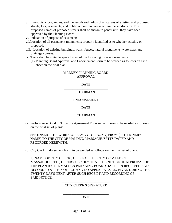- v. Lines, distances, angles, and the length and radius of all curves of existing and proposed streets, lots, easements, and public or common areas within the subdivision. The proposed names of proposed streets shall be shown in pencil until they have been approved by the Planning Board.
- vi. Indication of purpose of easements.
- vii.Location of all permanent monuments properly identified as to whether existing or proposed.
- viii. Location of existing buildings, walls, fences, natural monuments, waterways and drainage courses.
- ix. There shall be suitable space to record the following three endorsements:
	- (1) Planning Board Approval and Endorsement Form to be worded as follows on each sheet on the final plan:

#### MALDEN PLANNING BOARD APPROVAL

\_\_\_\_\_\_\_\_\_\_\_\_\_\_\_\_\_\_\_\_\_\_\_\_\_\_ DATE \_\_\_\_\_\_\_\_\_\_\_\_\_\_\_\_\_\_\_\_\_\_\_\_\_\_

# CHAIRMAN

#### ENDORSEMENT

\_\_\_\_\_\_\_\_\_\_\_\_\_\_\_\_\_\_\_\_\_\_\_ DATE \_\_\_\_\_\_\_\_\_\_\_\_\_\_\_\_\_\_\_\_\_\_\_\_

#### CHAIRMAN

(2) Performance Bond or Tripartite Agreement Endorsement Form to be worded as follows on the final set of plans:

SEE (INSERT THE WORD AGREEMENT OR BOND) FROM (PETITIONER'S NAME) TO THE CITY OF MALDEN, MASSACHUSETTS DATED AND RECORDED HEREWITH.

(3) City Clerk Endorsement Form to be worded as follows on the final set of plans:

I, (NAME OF CITY CLERK), CLERK OF THE CITY OF MALDEN, MASSACHUSETTS, HEREBY CERTIFY THAT THE NOTICE OF APPROVAL OF THE PLAN BY THE MALDEN PLANNING BOARD HAS BEEN RECEIVED AND RECORDED AT THIS OFFICE AND NO APPEAL WAS RECEIVED DURING THE TWENTY DAYS NEXT AFTER SUCH RECEIPT AND RECORDING OF SAID NOTICE.

#### \_\_\_\_\_\_\_\_\_\_\_\_\_\_\_\_\_\_\_\_\_\_\_\_\_\_\_\_ CITY CLERK'S SIGNATURE

#### \_\_\_\_\_\_\_\_\_\_\_\_\_\_\_\_\_\_\_\_\_\_\_\_\_\_\_ DATE

11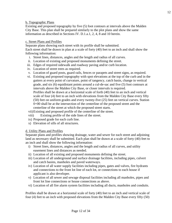#### b. Topographic Plans

Existing and proposed topography by five (5) foot contours at intervals above the Malden City Base. This plan shall be prepared similarly to the plot plans and show the same information as described in Sections IV. D.1.a.1, 2, 4, 8 and 10 herein.

#### c. Street Plans and Profiles

Separate plans showing each street with its profile shall be submitted. Each street shall be drawn in plan at a scale of forty (40) feet to an inch and shall show the following information:

- i. Street lines, distances, angles and the length and radius of all curves.
- ii. Location of existing and proposed monuments defining the street.
- iii. Edges of required sidewalk and roadway paving and/or curb location.
- iv. Location of street trees as required.
- v. Location of guard posts, guard rails, fences or parapets and street signs, as required.
- vi. Existing and proposed topography with spot elevations at the top of the curb and in the gutters at every point of curvature, point of tangency, catch basin, change in vertical grade, and six (6) equidistant points around a cul-de-sac and five (5) foot contours at intervals above the Malden City Base, or closer intervals is required. Profiles shall be drawn at a horizontal scale of forth (40) feet to an inch and vertical scale of four (4) feet to an inch with elevations from the Malden City Base every fifty (50) feet on uniform grades and every twenty-five (25) feet on vertical curves. Station 0+00 shall be at the intersection of the centerline of the proposed street and the centerline of the street at which the proposed street starts. vii)Existing and proposed profile of the centerline of the street.
- viii) Existing profile of the side lines of the street.
- ix) Proposed grade for each curb line.
- x) Elevation of sills of all structures.

# d. Utility Plans and Profiles

Separate plans and profiles showing drainage, water and sewer for each street and adjoining land as necessary shall be submitted. Each plan shall be drawn at a scale of forty (40) feet to an inch and shall show the following information:

- i) Street lines, distances, angles and the length and radius of all curves, and utility easement lines and distances as needed.
- ii) Location of all existing and proposed monuments defining the street.
- iii) Location of all underground and surface drainage facilities, including pipes, culvert and catch basins, manholes and paved waterways.
- iv) Location of all water supply facilities including pipes, gates and valves, fire hydrants and connections to the front lot line of each lot, or connections to each house if applicant is also developer.
- v) Location of all sewer and sewage disposal facilities including all manholes, pipes and front lot line connections or house connections as above.
- vi) Location of all fire alarm system facilities including all ducts, manholes and conduits.

Profiles shall be drawn at a horizontal scale of forty (40) feet to an inch and vertical scale of four (4) feet to an inch with proposed elevations from the Malden City Base every fifty (50)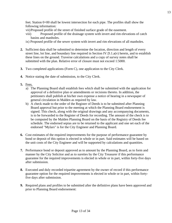feet. Station 0+00 shall be lowest intersection for each pipe. The profiles shall show the following information:

- vii)Proposed profile of the street of finished surface grade of the easement.
- viii) Proposed profile of the drainage system with invert and rim elevations of catch basins and manholes.
- ix) Proposed profile of the sewer system with invert and rim elevations of all manholes.
- **2.** Sufficient data shall be submitted to determine the location, direction and length of every street line, lot line, and boundary line required in Section IV.D.1.a(v) herein, and to establish these lines on the ground. Traverse calculations and a copy of survey notes shall be submitted with the plan. Relative error of closure must not exceed 1:5000.
- **3.** Two completed applications (Form C), one application to the City Clerk.
- **4.** Notice stating the date of submission, to the City Clerk.
- **5.** Fees.
	- a) The Planning Board shall establish fees which shall be submitted with the application for approval of a definitive plan or amendments or recisions thereto. In addition, the petitioners shall publish at his/her own expense a notice of hearing in a newspaper of general circulation in Malden as required by law.
	- b) A check made to the order of the Register of Deeds is to be submitted after Planning Board approval but prior to the meeting at which the Planning Board endorsement is signed. This check, along with the original drawings and any accompanying documents, is to be forwarded to the Register of Deeds for recording. The amount of the check is to be computed by the Malden Planning Board on the basis of the Registry of Deeds fee schedule. The endorsed sepias are to be returned to the applicant and one set each of the endorsed "Mylars" is for the City Engineer and Planning Board.
- **6.** Cost estimates of the required improvements for the purpose of performance guarantee by bond or deposit of this option is elected in whole or in part. Said estimates will be based on the unit costs of the City Engineer and will be supported by calculations and quantities.
- **7.** Performance bond or deposit approved as to amount by the Planning Board, as to form and manner by the City Solicitor and as to sureties by the City Treasurer if this performance guarantee for the required improvements is elected in whole or in part, within forty-five days after submission.
- **8.** Executed and duly recorded tripartite agreement by the owner of record if this performance guarantee option for the required improvements is elected in whole or in part, within fortyfive days after submission.
- **9.** Required plans and profiles to be submitted after the definitive plans have been approved and prior to Planning Board endorsement: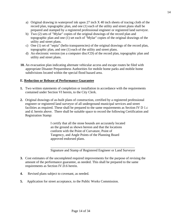- a) Original drawing in waterproof ink upon 27 inch X 40 inch sheets of tracing cloth of the record plan, topographic plan, and one (1) each of the utility and street plans shall be prepared and stamped by a registered professional engineer or registered land surveyor.
- b) Two (2) sets of "Mylar" copies of the original drawings of the record plan and topographic plan and one (1) set each of "Mylar" copies of the original drawings of the utility and street plans.
- c) One (1) set of "sepia" (helio transparencies) of the original drawings of the record plan, topographic plan, and one (1) each of the utility and street plans.
- d) An electronic version (on a computer disc/CD) of the record plan, topographic plan and utility and street plans.
- **10.** An evacuation plan indicating alternate vehicular access and escape routes be filed with appropriate Disaster Preparedness Authorities for mobile home parks and mobile home subdivisions located within the special flood hazard area.

# **E. Reduction or Release of Performance Guarantee**

- **1.** Two written statements of completion or installation in accordance with the requirements contained under Section VI herein, to the City Clerk.
- **2.** Original drawings of as-built plans of construction, certified by a registered professional engineer or registered land surveyor of all underground municipal services and street facilities as required. These shall be prepared to the same requirements as Section IV D 1.c and d. herein above. There shall be suitable space to record the following Certification and Registration Stamp:

I certify that all the stone bounds are accurately located an the ground as shown hereon and that the locations conform with the Point of Curvature, Point of Tangency, and Angle Points of the Planning Board approved endorsed plans.

\_\_\_\_\_\_\_\_\_\_\_\_\_\_\_\_\_\_\_\_\_\_\_\_\_\_\_\_\_\_\_\_\_\_\_\_\_\_\_\_\_\_\_\_\_\_\_\_\_\_ Signature and Stamp of Registered Engineer or Land Surveyor

- **3.** Cost estimates of the uncompleted required improvements for the purpose of revising the amount of the performance guarantee, as needed. This shall be prepared to the same requirements as Section IV.D.6 herein.
- **4.** Revised plans subject to covenant, as needed.
- **5.** Application for street acceptance, to the Public Works Commission.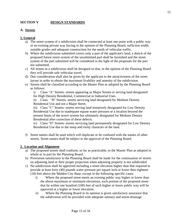# **SECTION V DESIGN STANDARDS**

#### **A. Streets**

#### **1. General**

- a) The street system of a subdivision shall be connected at least one point with a public way or an existing private way having in the opinion of the Planning Board, sufficient width, suitable grades and adequate construction for the needs of vehicular traffic.
- b) Where the subdivision submitted covers only a part of the applicant's land, a sketch of the proposed future street system of the unsubmitted part shall be furnished and the street system of the part submitted will be considered in the light of the proposals for the part not submitted.
- c) All streets in a subdivision shall be designed so that, in the opinion of the Planning Board they will provide safe vehicular travel.
- d) Due consideration shall also be given by the applicant to the attractiveness of the street layout in order to obtain the maximum livability and amenity of the subdivision.
- e) Streets shall be classified according to the Master Plan as adopted by the Planning Board as follows:

i) Class "A" Streets- streets appearing as Major Streets or serving land designated for High Density Residential, Commercial or Industrial Uses.

ii) Class "B" Streets- streets servicing land designated for Medium Density Residential Use and not a Major Street.

iii) Class "C" Streets- streets serving land tentatively designated for Low Density Residential Use due to inadequate equate water pressure or a location beyond the present limits of the sewer system but ultimately designated for Medium Density Residential after correction of these defects.

iv) Class "D" Streets- streets servicing land permanently designated for Low Density Residential Use due to the steep and rocky character of the land.

f) Street names shall be used which will duplicate or be confused with the names of other streets. Street names shall be subject to the approval of the Planning Board.

#### **2. Location and Alignment**

- a) The proposed streets shall conform, so far as practicable, to the Master Plan as adopted in whole or in part by the Planning Board.
- b) Provisions satisfactory to the Planning Board shall be made for the continuation of streets on adjoining land or their proper projection when adjoining property is not subdivided.
- c) No subdivision shall be approved including a street elevation higher than that required to provide at least forty (40) pounds water pressure per square inch or lower than eighteen
	- (18) feet above the Malden City Base, except in the following specific cases:
		- i) Where the proposed street meets an existing public way higher or lower than the above maximum or minimum elevations, such portion of the proposed street that lie within one hundred (100) feet of such higher or lower public way will be approved at a higher or lower elevation.
		- ii) Where the Planning Board in its opinion is given satisfactory assurance that the subdivision will be provided with adequate sanitary and storm drainage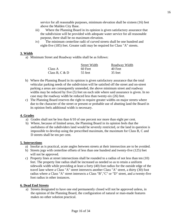service for all reasonable purposes, minimum elevation shall be sixteen (16) feet above the Malden City Base.

- iii) Where the Planning Board in its opinion is given satisfactory assurance that the subdivision will be provided with adequate water service for all reasonable purpose, there shall be no maximum elevation.
- iv) The minimum centerline radii of curved streets shall be one hundred and eight-five (185) feet. Greater radii may be required for Class "A" streets.

# **3. Width**

a) Minimum Street and Roadway widths shall be as follows:

|                  | <b>Street Width</b> | Roadway Width |
|------------------|---------------------|---------------|
| Class A          | $60$ Feet           | 40 Feet       |
| Class B, C $&$ D | 55 feet             | 35 feet       |

- b) Where the Planning Board in its opinion is given satisfactory assurance that the total vehicular parking needs of the subdivision will be satisfied off the street and on-street parking a areas are consequently unneeded, the above minimum street and roadway widths may be reduced by five (5) feet on each side where said assurance is given. In no case may the roadway width be reduced less than twenty-six (26) feet.
- c) The Planning Board reserves the right to require greater widths on major streets where due to the character of the street or present or probable use of abutting land the Board in its opinion feels additional width is necessary.

# **4. Grades**

- a) Grades shall not be less than 6/10 of one percent nor more than eight per cent.
- b) Where, because of limited areas, the Planning Board in its opinion feels that the usefulness of the subdividers land would be severely restricted, or the land in question is impossible to develop using the prescribed maximum, the maximum for Class B, C and D streets shall be ten per cent.

# **5. Intersections**

- a) Insofar as is practical, acute angles between streets at their intersection are to be avoided.
- b) Streets jogs with centerline offsets of less than one hundred and twenty-five (125) feet will not be approved.
- c) Property lines at street intersections shall be rounded to a radius of not less than ten (10) feet. The property line radius shall be increased as needed so as to retain a uniform sidewalk width while providing at least a forty (40) foot radius for the outside edge of the travel lane where a Class "A" street intersects another Class "A" street, a thirty (30) foot radius where a Class "A" street intersects a Class "B","C" or "D" street, and a twenty-five foot radius in other instances.

# **6. Dead End Streets**

a) Streets designated to have one end permanently closed will not be approved unless, in the opinion of the Planning Board, the configuration of natural or man-made features makes no other solution practical.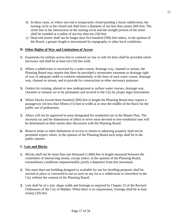- b) In these cases, or where one end is temporarily closed pending a future subdivision, the turning circle at the closed end shall have a diameter of not less than ninety (90) feet. The street line at the intersection of the turning circle and the straight portion of the street shall be rounded at a radius of not less than ten (10) feet.
- c) Dead end streets shall not be longer than five hundred (500) feet unless, in the opinion of the Board, a greater length is necessitated by topography or other local conditions.

# **B. Other Rights of Way and Limitations of Access**

- **1.** Easements for utilities across lots or centered on rear or side lot lines shall be provided where necessary and shall be at least ten (10) feet wide.
- **2.** Where a subdivision is traversed by a water course, drainage way, channel or stream, the Planning Board may require that there be provided a stormwater easement or drainage right of way of adequate width to conform substantially to the lines of such water course, drainage way, channel or stream, and to provide for construction or other necessary purposes.
- **3.** Outlets for existing, altered or new underground or surface water courses, drainage way, channels or streams are to be permanent and secured to the City by proper legal instruments.
- **4.** Where blocks exceed three hundred (300) feet in length the Planning Board may require a passageway not less than fifteen (15) feet in width at or near the middle of the block for the public use of pedestrians.
- **5.** Alleys will not be approved in areas designated for residential use in the Master Plan. The necessity tar and the dimensions of alleys to serve areas devoted to non-residential uses will be determined on their merits after discussion with the Planning Board.
- **6.** Reserve strips or other limitations of access to streets or adjoining property shall not be permitted expect where, in the opinion of the Planning Board such strips shall be in the public interest.

# **C. Lots and Blocks**

- **1.** Blocks shall not be more than one thousand (1,000) feet in length measured between the centerlines of intersecting streets, except where, in the opinion of the Planning Board, extraordinary conditions unquestionably justify a departure from this maximum.
- **2.** Not more than one building designed or available for use for dwelling purposes shall be erected or place or converted to use as such on any lot in a subdivision or elsewhere in the City without the consent of the Planning Board.
- **3.** Lots shall be of a size, shape width and frontage as required by Chapter 23 of the Revised Ordinances of the City of Malden. When there is no requirement, frontage shall be at least twenty (20) feet.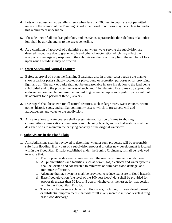- **4.** Lots with access an two parallel streets when less than 200 feet in depth are not permitted unless in the opinion of the Planning Board exceptional conditions may be such as to render this requirement undesirable.
- **5.** The side lines of all quadrangular lots, and insofar as is practicable the side lines of all other lots shall be at right angles to the street centerline.
- **6.** As a condition of approval of a definitive plan, where ways serving the subdivision are deemed inadequate due to grade, width and other characteristics which may affect the adequacy of emergency response to the subdivision, the Board may limit the number of lots upon which buildings may be erected.

# **D.\_Open Spaces and Natural Features**

- **1.** Before approval of a plan the Planning Board may also in proper cases require the plan to show a park or parks suitably located for playground or recreation purposes or for providing light and air. The park or parks shall not be unreasonable in area in relation to the land being subdivided and to the prospective uses of such land. The Planning Board may by appropriate endorsement on the plan require that no building be erected upon such park or parks without its approval for a period of three (3) years.
- **2.** Due regard shall be shown for all natural features, such as large trees, water courses, scenic points, historic spots, and similar community assets, which, if preserved, will add attractiveness and value to the subdivision.
- **3.** Any alterations to watercourses shall necessitate notification of same to abutting communities' conservation commissions and planning boards, and such alterations shall be designed so as to maintain the carrying capacity of the original waterway.

# **E. Subdivisions in the Flood Plain**

- **1.** All subdivisions shall be reviewed to determine whether such proposals will be reasonably safe from flooding. If any part of a subdivision proposal or other new development is located within the Flood Plain District established under the Zoning Ordinance, it shall be reviewed to assure that:
	- a. The proposal is designed consistent with the need to minimize flood damage.
	- b. All public utilities and facilities, such as sewer, gas, electrical and water systems shall be located and constructed to minimize or eliminate flood damage, and minimize infiltration.
	- c. Adequate drainage systems shall be provided to reduce exposure to flood hazards.
	- d. Base flood elevation (the level of the 100 year flood) data shall be provided for proposals greater than 50 lots or 5 acres, whichever is the lesser, for that portion within the Flood Plain District.
	- e. There shall be no encroachments in floodways, including fill, new development, or substantial improvements that/will result in any increase in flood levels during base flood discharge.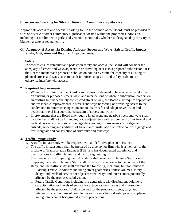# **F. Access and Parking for Sites of Historic or Community Significance.**

Appropriate access to and adequate parking for, in the opinion of the Board, must be provided to sites of historic or other community significance located within the proposed subdivision, including but not limited to parks and veteran's memorials, whether so designated by the City of Malden, a state or federal entity.

# **G. Adequacy of Access via Existing Adjacent Streets and Ways: Safety, Traffic Impact Study, Mitigation and Required Improvements.**

# **1. Safety**

In order to ensure vehicular and pedestrian safety and access, the Board will consider the adequacy of streets and ways adjacent to or providing access to a proposed subdivision. It is the Board's intent that a proposed subdivision not overly strain the capacity of existing or planned streets and ways so as to result in traffic congestion and safety problems or otherwise interfere with access.

# **2. Required Improvements**

- a. When, in the opinion of the Board, a subdivision is deemed to have a detrimental effect on existing or proposed streets, ways and intersections or where a subdivision borders on an existing but inadequately constructed street or way, the Board may require appropriate and reasonable improvements in streets and ways bordering or providing access to the subdivision to minimize congestion and to insure safe and adequate vehicular and pedestrian travel in a coordinated system of streets and ways.
- b. Improvements that the Board may require in adjacent and nearby streets and ways shall include, but shall not be limited to, grade adjustments and realignments of horizontal and vertical curves, corrections of drainage deficiencies, improvements of bridges and culverts, widening and additions of travel lanes, installation of traffic control signage and traffic signals and construction of sidewalks and bikeways.

# **3. Traffic Impact Study**

- a. A traffic impact study will be required with all definitive plan submissions.
- b. The traffic impact study shall be prepared by a person or firm who is a member of the Institute of Transportation Engineer (ITE) and has documented experience and qualifications in traffic planning and traffic engineering.
- c. The person or firm preparing the traffic study shall meet with Planning Staff prior to preparing the study. Planning Staff shall provide information as to the content of the study, and the traffic study shall examine the following, including, but not limited to:
	- i. Existing Traffic Conditions including street geometries, traffic volumes, safety, delays and levels of service for adjacent street, ways and intersections potentially affected by the proposed subdivision.
	- ii. Future Traffic Conditions including trip generation, trip distribution, volume to capacity ratios and levels of service for adjacent streets, ways and intersections affected by the proposed subdivision and for the proposed streets, ways and intersections, at the time of completion and 5 years beyond anticipated completion taking into account background growth projections.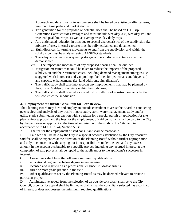- iii. Approach and departure route assignments shall be based on existing traffic patterns, minimum time paths and market studies.
- iv. Trip generation for the proposed or potential uses shall be based on ITE Trip Generation (latest edition) averages and must include weekday AM, weekday PM and weekend peak hour trips, as well as average weekday daily trips.
- v. Any anticipated reduction in trips due to special characteristics of the subdivision (i.e. mixture of uses, internal capture) must be fully explained and documented.
- vi. Sight distances for turning movements to and from the subdivision and within the subdivision must be analyzed using AASHTO standards.
- vii.The adequacy of vehicular queuing storage at the subdivision entrance shall be demonstrated.
- viii. The impact and mechanics of any proposed phasing shall be outlined.
- ix. Mitigation measures that could be taken to reduce the impacts of the proposed subdivision and their estimated costs, including demand management strategies (i.e. staggered work hours, car and van pooling, facilities for pedestrians and bicyclists) and capacity enhancements (i.e. land additions, signalization).
- x. The traffic study shall take into account any improvements that may be planned by the City of Malden or the State within the study area.
- xi. The traffic study shall take into account traffic patterns of construction vehicles that will construct the subdivision.

# **4. Employment of Outside Consultant for Peer Review.**

The Planning Board may hire and employ an outside consultant to assist the Board in conducting peer review and analysis of any traffic impact study, storm water management study and/or utility study submitted in conjunction with a petition for a special permit or application for site plan review approval, and the fees for the employment of said consultant shall be paid to the City by the petitioner or applicant at the time of submission of the study to the City, and in accordance with M.G.L. c. 44, Section 53G:

A. The fee for the employment of said consultant shall be reasonable.

B. Said fee shall be held by the City in a special account established by the City treasurer; said fee shall be expended at the direction of the Planning Board without further appropriation and only in connection with carrying out its responsibilities under the law; and any excess amount in the account attributable to a specific project, including any accrued interest, at the completion of said project shall be repaid to the applicant or to the applicant's successor in interest.

- C. Consultants shall have the following minimum qualifications:
- i. educational degree: bachelors degree in engineering
- ii. licensed and registered as a professional engineer in Massachusetts
- iii. three or more years practice in the field

iv. other qualifications set by the Planning Board as may be deemed relevant to review a particular project

D. Administrative appeal from the selection of an outside consultant shall be to the City Council; grounds for appeal shall be limited to claims that the consultant selected has a conflict of interest or does not possess the minimum, required qualifications.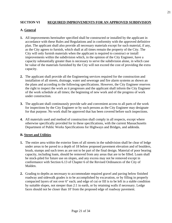# **SECTION VI REQUIRED IMPROVEMENTS FOR AN APPROVED SUBDIVISION**

# **A. General**

- **1.** All improvements hereinafter specified shall be constructed or installed by the applicant in accordance with these Rules and Regulations and in conformity with the approved definitive plan. The applicant shall also provide all necessary materials except for such material, if any, as the City agrees to furnish, which shall at all times remain the property of the City. The City will only furnish materials when the applicant is required to construct or install improvements within the subdivision which, in the opinion of the City Engineer, have a capacity substantially greater than is necessary to serve the subdivision alone, in which case he value of the materials furnished by the City will not exceed the cost of providing the extra capacity.
- **2.** The applicant shall provide all the Engineering services required for the construction and installation of all streets, drainage, water and sewerage and fire alarm systems as shown an the plans and according to the following specifications. However, the City Engineer reserves the right to inspect the work as it progresses and the applicant shall inform the City Engineer of the work schedule at all times; the beginning of new work and of the progress of work under construction.
- **3.** The applicant shall continuously provide safe and convenient access to all parts of the work for inspections by the City Engineer or by such persons as the City Engineer may designate for that purpose. No work shall be approved that has been covered before such inspections.
- **4.** All materials used and method of construction shall comply in all respects, except where otherwise specifically provided for in these specifications, with the current Massachusetts Department of Public Works Specifications for Highways and Bridges, and addenda.

# **B. Street and Utilities**

- **1.** The entire area within the exterior lines of all streets in the subdivision shall be clear of ledge under areas to be paved to a depth of 18 below proposed pavement elevation and of boulders, brush, stumps and such trees as are not to be part of the final design. Material of poor bearing capacity, including loam, should be removed from any areas that are to be filled. Loam shall be stock-piled for future use on slopes, and any excess may not be removed except in conformance with Section 6.13 of Chapter 6 of the Revised Ordinances of the City of Malden.
- **2.** Grading to depths as necessary to accommodate required gravel and paving below finished roadway and sidewalk grades is to be accomplished by excavation, or by filling in properly compacted layers of not over 6" each; and edge of cut or fill is to be left in a stable condition by suitable slopes, not steeper than 2:1 in earth, or by retaining walls if necessary. Ledge faces should not be closer than 10' from the proposed edge of roadway pavement.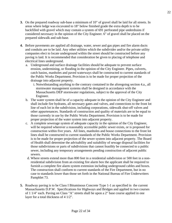- **3.** On the prepared roadway sub-base a minimum of 10" of gravel shall be laid for all streets. In areas where ledge was excavated to 18" below finished grade the extra depth is to be backfilled with gravel which may contain a system of 691 perforated pipe underdrains if considered necessary in the opinion of the City Engineer. 6" of gravel shall be placed on the prepared sidewalk and sub-base.
- **4.** Before pavements are applied all drainage, water, sewer and gas pipes and fire alarm ducts and conduits are to be laid. Any other utilities which the subdivider and/or the private utility companies elect to locate underground within the street should be constructed before any paving is laid. It is recommended that consideration be given to placing of telephone and electrical lines underground.
	- a. Underground and surface drainage facilities should be adequate to prevent surface erosion, undermining, or flooding in the opinion of the City Engineer. Pipes, culverts, catch basins, manholes and paved waterways shall be constructed to current standards of the Public Works Department. Provision is to be made for proper projection of the drainage into adjacent property.
		- i. Notwithstanding anything to the contrary contained in the aforegoing section 4.a., all stormwater management systems shall be designed in accordance with the Massachusetts DEP stormwater regulations, subject to the approval of the City Engineer.
	- b. The water system shall be of a capacity adequate in the opinion of the City Engineer and shall include fire hydrants, all necessary gates and valves, and connections to the front lot line of each lot in the subdivision, including corporations, sidewalk shut-off valves and other appurtenances. Standards of construction and quality of materials are to be equal to those currently in use by the Public Works Department. Provision is to be made for proper projection of the water system into adjacent property.
	- c. A complete sewerage system of adequate capacity in the opinion of the City Engineer, will be required wherever a reasonably accessible public sewer exists, or is proposed for construction within five years. All lines, manholes and house connections to the front lot lines shall be constructed to current standards of the Public Works Department. Provision is to be made for proper projection of the sewer system into adjacent property. The Board of Health shall determine the advisability and suitability of sewage disposal facilities for those subdivisions or parts of subdivisions that cannot feasibly be connected to a public sewer, including any temporary arrangements pending construction of adjacent public sewers.
	- d. Where streets extend more than 800 feet in a residential subdivision or 500 feet in a nonresidential subdivision from an existing fire alarm box the applicant shall be required to furnish a complete fire alarm system extension including underground cables and boxes. The construction shall conform to current standards of the Fire Department, but in no case to standards lower than those set forth in the National Bureau of Fire Underwriters Pamphlet 73.
- **5.** Roadway paving is to be Class I Bituminous Concrete Type 1-1 as specified in the current Massachusetts D.P.W. Specifications for Highways and Bridges and applied in two courses of 1 1/4" each. Paving on Class "A" streets shall be upon a 2" base course applied in one layer for a total thickness of 4 1/2".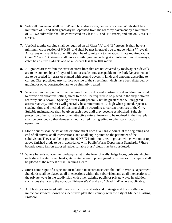- **6.** Sidewalk pavement shall be of 4" and 6" at driveways, cement concrete. Width shall be a minimum of 5' and shall generally be separated from the roadway pavement by a minimum of 5'. Two sidewalks shall be constructed on Class "A" and "B" streets, and one on Class "C" streets.
- **7.** Vertical granite curbing shall be required on all Class "A" and "B" streets. It shall have a minimum cross section of 6"X18" and shall be met in gravel true to grade with a 7" reveal. All curves with radii less than 100' shall be of granite cut to the approximate required radius. Class "C" and "D" streets shall have a similar granite curbing at all intersections, driveways, catch basins, fire hydrants and on all curves less than 100' radius.
- **8.** All graded areas within the exterior street lines that are not covered by roadway or sidewalk are to be covered by a 4" layer of loam or a substitute acceptable to the Park Department and are to be seeded for grass or planted with ground covers in kinds and amounts according to current City practices. Any surface outside of the street lines which have been disturbed by grading or other construction are to be similarly treated.
- **9.** Wherever, in the opinion of the Planning Board, sufficient existing woodland does not exist to provide an attractive setting, street trees will be required to be placed in the strip between roadway and sidewalk. Spacing of trees will generally not be greater than 50' staggered across roadway, and trees will generally be a minimum of 12' high when planted. Species, spacing, time and methods of planting shall be according to current practices of the City. Suitable maintenance shall be given such trees until they become established. Suitable protection of existing trees or other attractive natural features to be retained in the final plan shall be provided so that damage is not incurred from grading to other construction operations.
- **10.** Stone bounds shall be set on the exterior street lines at all angle points, at the beginning and end of all curves, at all intersections, and at all angle points on the perimeter of the subdivision. They shall be of granite, 6"X6"X4' minimum, set in gravel with elevation of top above finished grade to be in accordance with Public Works Department Standards. Where bounds would fall on exposed ledge, suitable brass/ plugs may be substituted.
- **11.** Where hazards adjacent to roadways exist in the form of walls, ledge faces, culverts, ditches or bodies of water, steep banks, etc. suitable guard poses, guard rails, fences or parapets shall be placed at the request of the Planning Board.
- **12.** Street name signs of a type and installation in accordance with the Public Works Department Standards shall be placed at all intersections within the subdivision and at all intersections of the private ways in the subdivision with other existing public or private ways. In addition, such signs shall carry the notation "Private Way" and also "Dead End" where applicable.
- **13.** All blasting associated with the construction of streets and drainage and the installation of municipal services shown on a definitive plan shall comply with the City of Malden Blasting Protocol.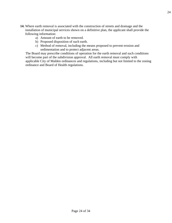- **14.** Where earth removal is associated with the construction of streets and drainage and the installation of municipal services shown on a definitive plan, the applicant shall provide the following information:
	- a) Amount of earth to be removed.
	- b) Proposed disposition of such earth.
	- c) Method of removal, including the means proposed to prevent erosion and sedimentation and to protect adjacent areas.

The Board may prescribe conditions of operation for the earth removal and such conditions will become part of the subdivision approval. All earth removal must comply with applicable City of Malden ordinances and regulations, including but not limited to the zoning ordinance and Board of Health regulations.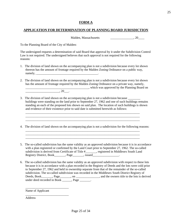#### **FORM A**

#### **APPLICATION FOR DETERMINATION OF PLANNING BOARD JURISDICTION**

Malden, Massachusetts \_\_\_\_\_\_\_\_\_\_\_\_\_\_\_, 20\_\_\_\_

To the Planning Board of the City of Malden:

The undersigned requests a determination of said Board that approval by it under the Subdivision Control Law is not required. The undersigned believes that such approval is not required for the following reasons:

- 1. The division of land shown on the accompanying plan is not a subdivision because every lot shown thereon has the amount of frontage required by the Malden Zoning Ordinance on a public way,  $namely, \_\_$
- 2. The division of land shown on the accompanying plan is not a subdivision because every lot shown has the amount of frontage required by the Malden Zoning Ordinance on a private way, namely, \_\_\_\_\_\_\_\_\_\_\_\_\_\_\_\_\_\_\_\_\_\_\_\_\_\_\_\_\_\_\_\_\_\_\_\_\_\_\_\_\_, which was approved by the Planning Board on

 $, 20$ .

3. The division of land shown on the accompanying plan is not a subdivision because buildings were standing on the land prior to September 27, 1962 and one of such buildings remains standing an each of the proposed lots shown on said plan. The location of such buildings is shown and evidence of their existence prior to said date is submitted herewith as follows:

\_\_\_\_\_\_\_\_\_\_\_\_\_\_\_\_\_\_\_\_\_\_\_\_\_\_\_\_\_\_\_\_\_\_\_\_\_\_\_\_\_\_\_\_\_\_\_\_\_\_\_\_\_\_\_\_\_\_\_\_\_\_\_\_\_\_\_\_\_\_\_\_\_\_ \_\_\_\_\_\_\_\_\_\_\_\_\_\_\_\_\_\_\_\_\_\_\_\_\_\_\_\_\_\_\_\_\_\_\_\_\_\_\_\_\_\_\_\_\_\_\_\_\_\_\_\_\_\_\_\_\_\_\_\_\_\_\_\_\_\_\_\_\_\_\_\_\_\_

4. The division of land shown on the accompanying plan is not a subdivision for the following reasons:

\_\_\_\_\_\_\_\_\_\_\_\_\_\_\_\_\_\_\_\_\_\_\_\_\_\_\_\_\_\_\_\_\_\_\_\_\_\_\_\_\_\_\_\_\_\_\_\_\_\_\_\_\_\_\_\_\_\_\_\_\_\_\_\_\_\_\_\_\_\_\_\_\_\_

\_\_\_\_\_\_\_\_\_\_\_\_\_\_\_\_\_\_\_\_\_\_\_\_\_\_\_\_\_\_\_\_\_\_\_\_\_\_\_\_\_\_\_\_\_\_\_\_\_\_\_\_\_\_\_\_\_\_\_\_\_\_\_\_\_\_\_\_\_\_\_\_\_\_

- 5. The so-called subdivision has the same validity as an approved subdivision because it is in accordance with a plan registered or confirmed by the Land Court prior to September 27, 1962. The so-called subdivision is derived from Certificate of Title #\_\_\_\_\_\_\_, registered in Middlesex South Land Registry District, Book Page and Superior Registry District, Book and Page and Superior Registry District, Book
- 6. The so-called subdivision has the same validity as an approved subdivision with respect to these lots because it is in accordance with a plan recorded in the Registry of Deeds and the lots were cold prior to September 27, 1962 and held in ownership separate from that of the remainder of the so-called subdivision. The so-called subdivision was recorded in the Middlesex South District Registry of Deeds, Book\_\_\_\_\_\_\_, Page\_\_\_\_\_\_\_, on \_\_\_\_\_\_\_\_\_\_\_\_\_\_\_\_, and the owners title to the lots is derived under deed recorded in Book Page Page 1.

Name of Applicant

\_\_\_\_\_\_\_\_\_\_\_\_\_\_\_\_\_\_\_\_\_\_\_\_\_\_\_\_

\_\_\_\_\_\_\_\_\_\_\_\_\_\_\_\_\_\_\_\_\_\_\_\_\_\_\_\_

Address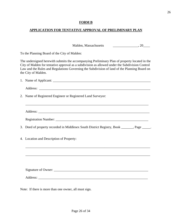# **FORM B**

# **APPLICATION FOR TENTATIVE APPROVAL OF PRELIMINARY PLAN**

Malden, Massachusetts \_\_\_\_\_\_\_\_\_\_\_\_\_\_\_\_\_\_, 20\_\_\_\_

To the Planning Board of the City of Malden:

The undersigned herewith submits the accompanying Preliminary Plan of property located in the City of Malden for tentative approval as a subdivision as allowed under the Subdivision Control Law and the Rules and Regulations Governing the Subdivision of land of the Planning Board on the City of Malden.

| 2. Name of Registered Engineer or Registered Land Surveyor:                                 |
|---------------------------------------------------------------------------------------------|
|                                                                                             |
|                                                                                             |
|                                                                                             |
| 3. Deed of property recorded in Middlesex South District Registry, Book ______, Page _____. |
| 4. Location and Description of Property:                                                    |
| ,我们也不能在这里的人,我们也不能在这里的人,我们也不能在这里的人,我们也不能在这里的人,我们也不能在这里的人,我们也不能在这里的人,我们也不能在这里的人,我们也           |
|                                                                                             |
|                                                                                             |
|                                                                                             |
|                                                                                             |

Note: If there is more than one owner, all must sign.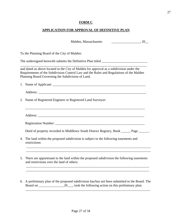# **FORM C**

# **APPLICATION FOR APPROVAL OF DEFINITIVE PLAN**

|    | Malden, Massachusetts<br>$\overline{\phantom{a}}$ , 20 $\overline{\phantom{a}}$                                                                                                                                                          |
|----|------------------------------------------------------------------------------------------------------------------------------------------------------------------------------------------------------------------------------------------|
|    | To the Planning Board of the City of Malden:                                                                                                                                                                                             |
|    |                                                                                                                                                                                                                                          |
|    | and dated as above located in the City of Malden for approval as a subdivision under the<br>Requirements of the Subdivision Control Law and the Rules and Regulations of the Malden<br>Planning Board Governing the Subdivision of Land. |
|    |                                                                                                                                                                                                                                          |
|    |                                                                                                                                                                                                                                          |
|    | 2. Name of Registered Engineer or Registered Land Surveyor:                                                                                                                                                                              |
|    |                                                                                                                                                                                                                                          |
|    |                                                                                                                                                                                                                                          |
|    | Deed of property recorded in Middlesex South District Registry, Book ____, Page _____.                                                                                                                                                   |
| 4. | The land within the proposed subdivision is subject to the following easements and<br>restrictions:                                                                                                                                      |
| 5. | There are appurtenant to the land within the proposed subdivision the following easements<br>and restrictions over the land of others:                                                                                                   |
| 6. | A preliminary plan of the proposed subdivision has/has not been submitted to the Board. The<br>20_, took the following action on this preliminary plan:<br>Board on                                                                      |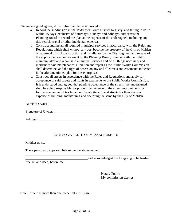The undersigned agrees, if the definitive plan is approved to:

- a. Record the subdivision in the Middlesex South District Registry, and failing to do so within 15 days, exclusive of Saturdays, Sundays and holidays, authorizes the Planning Board to record the plan at the expense of the undersigned, including any title search, travel or other incidental expenses;
- b. Construct and install all required municipal services in accordance with the Rules and Regulations, which shall without any cost become the property of the City of Malden on approval of such construction and installation by the City Engineer and release of the applicable bond or covenant by the Planning Board; together with the right to maintain, alter and repair said municipal services and do all things necessary and incident to said maintenance, alteration and repair as the Public Works Commission shall determine, and the right of access on any and all streets and easements indicated in the aforementioned plan for these purposes;
- c. Construct all streets in accordance with the Rules and Regulations and apply for acceptance of said streets and rights in easements to the Public Works Commission. It is understood and agreed that pending acceptance of the streets, the undersigned shall be solely responsible for proper maintenance of the street improvements, and for the assessment of tax levied on the abutters of said streets for their share of expense of building, maintaining and operating the same by the City of Malden.

Name of Owner:

Signature of Owner: \_\_\_\_\_\_\_\_\_\_\_\_\_\_\_\_\_\_\_\_\_\_\_\_\_\_\_\_\_\_\_\_\_\_\_\_\_\_\_\_\_

Address: \_\_\_\_\_\_\_\_\_\_\_\_\_\_\_\_\_\_\_\_\_\_\_\_\_\_\_\_\_\_\_\_\_\_\_\_\_\_\_\_\_\_\_\_\_\_\_\_\_\_

#### COMMONWEALTH OF MASSACHUSETTS

Middlesex, ss.

There personally appeared before me the above named

and acknowledged the foregoing to be his/her

free act and deed, before me.

Notary Public My commission expires:

\_\_\_\_\_\_\_\_\_\_\_\_\_\_\_\_\_\_\_\_\_\_\_\_\_\_\_\_

Note: If there is more than one owner all must sign.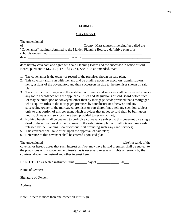#### **FORM D**

#### **COVENANT**

|                                                                                                                                                                                                                               | County, Massachusetts, hereinafter called the                                                                                                                                                                                  |
|-------------------------------------------------------------------------------------------------------------------------------------------------------------------------------------------------------------------------------|--------------------------------------------------------------------------------------------------------------------------------------------------------------------------------------------------------------------------------|
|                                                                                                                                                                                                                               | "Covenantor", having submitted to the Malden Planning Board, a definitive plan of a<br>subdivision, entitled,                                                                                                                  |
| dated and the state of the state of the state of the state of the state of the state of the state of the state of the state of the state of the state of the state of the state of the state of the state of the state of the | made by the contract of the contract of the contract of the contract of the contract of the contract of the contract of the contract of the contract of the contract of the contract of the contract of the contract of the co |

does hereby covenant and agree with said Planning Board and the successor in office of said Board, pursuant to M.G.L. (Ter. Ed.) C. 41, Sec. 810, as amended, that:

- 1. The covenantor is the owner of record of the premises shown on said plan;
- 2. This covenant shall run with the land and be binding upon the executors, administrators, heirs, assigns of the covenantor, and their successors in title to the premises shown on said plan;
- 3. The construction of ways and the installation of municipal services shall be provided to serve any lot in accordance with the applicable Rules and Regulations of said Board before such lot may be built upon or conveyed, other than by mortgage deed; provided that a mortgagee who acquires titles to the mortgaged premises by foreclosure or otherwise and any succeeding owner of the mortgaged premises or part thereof may sell any such lot, subject only to that portion of this covenant which provides that no lot so sold shall be built upon until such ways and services have been provided to serve such lot;
- 4. Nothing herein shall be deemed to prohibit a conveyance subject to this covenant by a single deed of the entire parcel of land shown on the subdivision plan or of all lots not previously released by the Planning Board without /first providing such ways and services;
- 5. This covenant shall take effect upon the approval of said plan;
- 6. Reference to this covenant shall be entered upon said plan.

The undersigned \_\_\_\_\_\_\_\_\_\_\_\_\_\_\_\_\_\_\_\_\_\_\_\_\_\_\_\_\_\_\_\_\_\_\_\_\_\_\_\_\_\_\_\_\_\_\_wife/husband, of the covenantor hereby agree that such interest as I/we, may have in said premises shall be subject to the provisions of this covenant and insofar as is necessary release all rights of tenancy by the courtesy, dower, homestead and other interest herein.

EXECUTED as a sealed instrument this \_\_\_\_\_\_\_ day of \_\_\_\_\_\_\_\_\_\_\_\_\_\_\_\_\_ 20\_\_\_.

| Name of Owner: |  |
|----------------|--|
|                |  |

Signature of Owner: \_\_\_\_\_\_\_\_\_\_\_\_\_\_\_\_\_\_\_\_\_\_\_\_\_\_\_\_\_\_\_\_\_\_\_\_\_\_\_\_\_

Address:

Note: If there is more than one owner all must sign.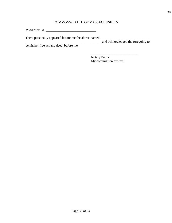# COMMONWEALTH OF MASSACHUSETTS

Middlesex, ss. \_\_\_\_\_\_\_\_\_\_\_\_\_\_\_\_\_\_\_\_\_\_\_\_\_\_\_\_\_\_

There personally appeared before me the above-named \_\_\_\_\_\_\_\_\_\_\_\_\_\_\_\_\_\_\_\_\_\_\_\_\_\_\_\_\_

\_\_\_\_\_\_\_\_\_\_\_\_\_\_\_\_\_\_\_\_\_\_\_\_\_\_\_\_\_\_\_\_\_\_\_\_\_\_\_\_\_\_\_\_\_ and acknowledged the foregoing to

be his/her free act and deed, before me.

 $\overline{\phantom{a}}$  , and the set of the set of the set of the set of the set of the set of the set of the set of the set of the set of the set of the set of the set of the set of the set of the set of the set of the set of the s Notary Public My commission expires: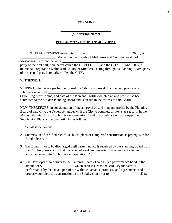# **FORM D-1**

#### **\_\_\_\_\_\_\_\_\_\_\_\_\_\_\_\_\_\_\_\_\_\_\_\_\_\_\_\_\_\_ (Subdivision Name)**

# **PERFORMANCE BOND AGREEMENT**

THIS AGREEMENT made this day of the same control of the set of the set of the set of the set of the set of the set of the set of the set of the set of the set of the set of the set of the set of the set of the set of the s \_\_\_\_\_\_\_\_\_\_\_\_\_\_\_\_\_\_\_\_\_, Malden, in the County of Middlesex and Commonwealth of Massachusetts by and between party of the first part, hereinafter called the DEVELOPER, and the CITY OF MALDEN, a municipal corporation within said County of Middlesex acting through its Planning Board, party of the second part, hereinafter called the CITY.

#### WITNESSETH:

WHEREAS the Developer has petitioned the City for approval of a plan and profile of a subdivision entitled: (Title, Engineer's Name, and date of the Plan and Profile) which plan and profile has been submitted to the Malden Planning Board and is on file in the offices of said Board.

NOW THEREFORE, in consideration of the approval of said plan and profile by the Planning Board of said City, the Developer agrees with the City to complete all items as set forth in the Malden Planning Board "Subdivision Regulations" and in accordance with the Approved Subdivision Plans and more particular as follows:

- 1. Set all stone bounds.
- 2. Submission of certified record "as built" plans of completed construction as prerequisite for Bond release.
- 3. The Bond is not to be discharged until written notice is received by the Planning Board from the City Engineer stating that the required work and materials have been installed in accordance with the "Subdivision Regulations."
- 4. The Developer is to deliver to the Planning Board of said City a performance bond in the amount of \$ , which shall insure to the said City the faithful performance by the Developer, of the within covenants, promises, and agreements, and to properly complete the construction in the Subdivision prior to \_\_\_\_\_\_\_\_\_\_\_\_\_\_\_\_\_(Date).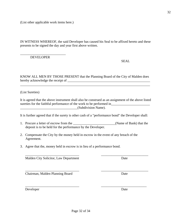(List other applicable work items here.)

IN WITNESS WHEREOF, the said Developer has caused his Seal to be affixed hereto and these presents to be signed the day and year first above written.

#### DEVELOPER

\_\_\_\_\_\_\_\_\_\_\_\_\_\_\_\_\_\_\_\_\_\_\_\_\_\_\_

KNOW ALL MEN BY THOSE PRESENT that the Planning Board of the City of Malden does hereby acknowledge the receipt of \_\_\_\_\_\_\_\_\_\_\_\_\_\_\_\_\_\_\_\_\_\_\_\_\_\_\_\_\_\_\_\_\_\_\_\_\_\_\_\_\_\_\_\_\_\_\_\_\_

\_\_\_\_\_\_\_\_\_\_\_\_\_\_\_\_\_\_\_\_\_\_\_\_\_\_\_\_\_\_\_\_\_\_\_\_\_\_\_\_\_\_\_\_\_\_\_\_\_\_\_\_\_\_\_\_\_\_\_\_\_\_\_\_\_\_\_\_\_\_\_\_\_\_\_\_\_

(List Sureties)

It is agreed that the above instrument shall also be construed as an assignment of the above listed sureties for the faithful performance of the work to be performed in \_\_\_\_\_\_\_\_\_\_\_\_\_\_\_\_\_\_\_\_\_\_\_\_\_\_\_\_\_\_\_\_\_\_(Subdivision Name).

It is further agreed that if the surety is other cash of a "performance bond" the Developer shall:

1. Procure a letter of escrow from the \_\_\_\_\_\_\_\_\_\_\_\_\_\_\_\_\_\_\_\_\_\_\_\_\_\_\_\_\_(Name of Bank) that the deposit is to be held for the performance by the Developer.

 $\overline{\phantom{a}}$  ,  $\overline{\phantom{a}}$  ,  $\overline{\phantom{a}}$  ,  $\overline{\phantom{a}}$  ,  $\overline{\phantom{a}}$  ,  $\overline{\phantom{a}}$  ,  $\overline{\phantom{a}}$  ,  $\overline{\phantom{a}}$  ,  $\overline{\phantom{a}}$  ,  $\overline{\phantom{a}}$  ,  $\overline{\phantom{a}}$  ,  $\overline{\phantom{a}}$  ,  $\overline{\phantom{a}}$  ,  $\overline{\phantom{a}}$  ,  $\overline{\phantom{a}}$  ,  $\overline{\phantom{a}}$ 

 $\overline{\phantom{a}}$  , and the contract of the contract of the contract of the contract of the contract of the contract of the contract of the contract of the contract of the contract of the contract of the contract of the contrac

- 2. Compensate the City by the money held in escrow in the event of any breach of the Agreement.
- 3. Agree that the, money held in escrow is in lieu of a performance bond.

Malden City Solicitor, Law Department Date

Chairman, Malden Planning Board Date

Developer Date

SEAL

 $\overline{\phantom{a}}$  ,  $\overline{\phantom{a}}$  ,  $\overline{\phantom{a}}$  ,  $\overline{\phantom{a}}$  ,  $\overline{\phantom{a}}$  ,  $\overline{\phantom{a}}$  ,  $\overline{\phantom{a}}$  ,  $\overline{\phantom{a}}$  ,  $\overline{\phantom{a}}$  ,  $\overline{\phantom{a}}$  ,  $\overline{\phantom{a}}$  ,  $\overline{\phantom{a}}$  ,  $\overline{\phantom{a}}$  ,  $\overline{\phantom{a}}$  ,  $\overline{\phantom{a}}$  ,  $\overline{\phantom{a}}$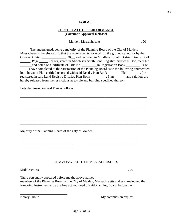#### **FORM E**

#### **CERTIFICATE OF PERFORMANCE (Covenant Approval Release)**

Malden, Massachusetts \_\_\_\_\_\_\_\_\_\_\_\_\_\_\_\_\_\_\_\_\_\_, 20\_\_\_\_

The undersigned, being a majority of the Planning Board of the City of Malden, Massachusetts, hereby certify that the requirements for work on the ground called for by the Covenant dated \_\_\_\_\_\_\_\_\_\_\_\_\_\_, 20\_\_, and recorded in Middlesex South District Deeds, Book \_\_\_\_\_\_, Page \_\_\_\_\_, (or registered in Middlesex South Land Registry District as Document No. \_\_\_\_\_\_\_and noted on Certificate of Title No. \_\_\_\_\_\_\_\_\_in Registration Book \_\_\_\_\_\_\_\_, Page \_\_\_\_\_) have completed to the satisfaction of the Planning Board as to the following enumerated lots shown of Plan entitled recorded with said Deeds, Plan Book \_\_\_\_\_\_, Plan \_\_\_\_\_, (or registered in said Land Registry District, Plan Book , Plan , and said lots are hereby released from the restrictions as to sale and building specified thereon.

\_\_\_\_\_\_\_\_\_\_\_\_\_\_\_\_\_\_\_\_\_\_\_\_\_\_\_\_\_\_\_\_\_\_\_\_\_\_\_\_\_\_\_\_\_\_\_\_\_\_\_\_\_\_\_\_\_\_\_\_\_\_\_\_\_\_\_\_\_\_\_\_\_\_\_ \_\_\_\_\_\_\_\_\_\_\_\_\_\_\_\_\_\_\_\_\_\_\_\_\_\_\_\_\_\_\_\_\_\_\_\_\_\_\_\_\_\_\_\_\_\_\_\_\_\_\_\_\_\_\_\_\_\_\_\_\_\_\_\_\_\_\_\_\_\_\_\_\_\_\_

\_\_\_\_\_\_\_\_\_\_\_\_\_\_\_\_\_\_\_\_\_\_\_\_\_\_\_\_\_\_\_\_\_\_\_\_\_\_\_\_\_\_\_\_\_\_\_\_\_\_\_\_\_\_\_\_\_\_\_\_\_\_\_\_\_\_\_\_\_\_\_\_\_\_\_ \_\_\_\_\_\_\_\_\_\_\_\_\_\_\_\_\_\_\_\_\_\_\_\_\_\_\_\_\_\_\_\_\_\_\_\_\_\_\_\_\_\_\_\_\_\_\_\_\_\_\_\_\_\_\_\_\_\_\_\_\_\_\_\_\_\_\_\_\_\_\_\_\_\_\_

\_\_\_\_\_\_\_\_\_\_\_\_\_\_\_\_\_\_\_\_\_\_\_\_\_\_\_\_\_\_\_\_\_\_\_\_\_\_\_\_\_\_\_\_\_\_\_\_\_\_\_\_\_\_\_\_\_\_\_\_\_\_\_\_\_\_\_\_\_\_\_\_\_\_\_ \_\_\_\_\_\_\_\_\_\_\_\_\_\_\_\_\_\_\_\_\_\_\_\_\_\_\_\_\_\_\_\_\_\_\_\_\_\_\_\_\_\_\_\_\_\_\_\_\_\_\_\_\_\_\_\_\_\_\_\_\_\_\_\_\_\_\_\_\_\_\_\_\_\_\_

Lots designated on said Plan as follows:

Majority of the Planning Board of the City of Malden:

#### COMMONWEALTH OF MASSACHUSETTS

Middlesex, ss. \_\_\_\_\_\_\_\_\_\_\_\_\_\_\_\_\_\_ \_\_\_\_\_\_\_\_\_\_\_\_\_\_\_\_, 20\_\_

\_\_\_\_\_\_\_\_\_\_\_\_\_\_\_\_\_\_\_\_\_\_\_\_\_\_\_\_\_\_\_ \_\_\_\_\_\_\_\_\_\_\_\_\_\_\_\_\_\_\_\_\_\_\_\_\_\_\_\_ \_\_\_\_\_\_\_\_\_\_\_\_\_\_\_\_\_\_\_\_\_\_\_\_\_\_\_\_\_\_\_ \_\_\_\_\_\_\_\_\_\_\_\_\_\_\_\_\_\_\_\_\_\_\_\_\_\_\_\_

There personally appeared before me the above-named \_\_\_\_\_\_\_\_\_\_\_\_\_\_\_\_\_\_\_\_\_\_\_\_\_\_\_\_\_\_\_\_\_

members of the Planning Board of the City of Malden, Massachusetts and acknowledged the foregoing instrument to be the free act and deed of said Planning Board, before me.

\_\_\_\_\_\_\_\_\_\_\_\_\_\_\_\_\_\_\_\_\_\_\_\_\_\_\_\_

Notary Public My commission expires: